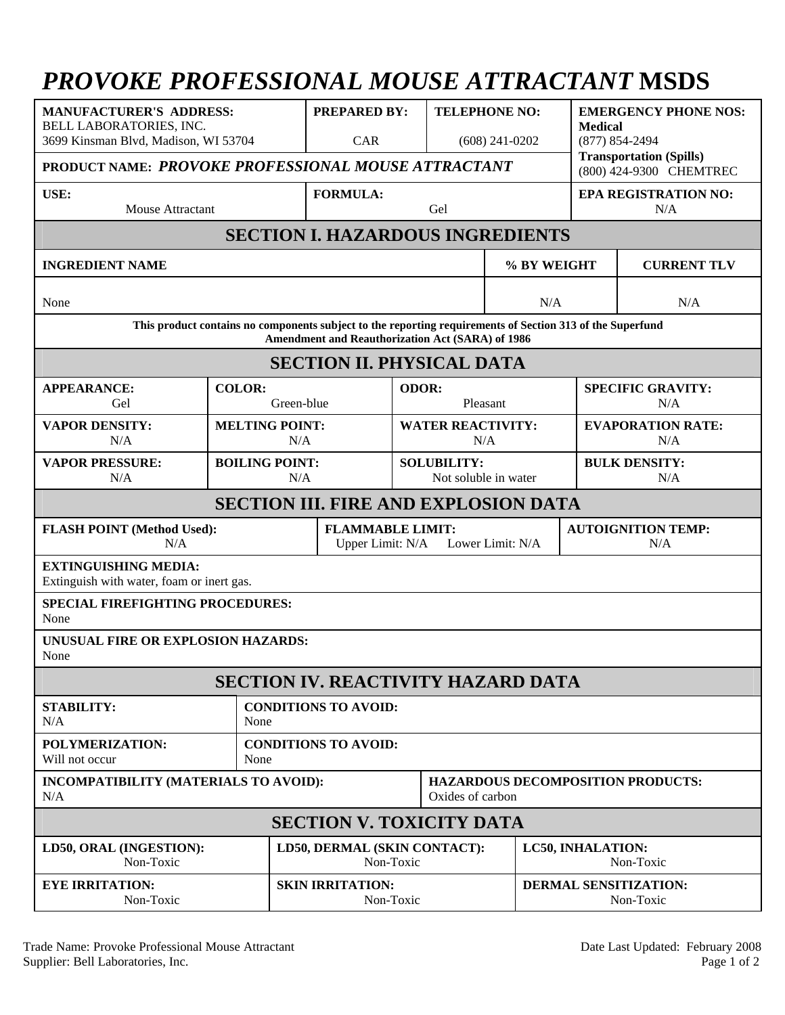## *PROVOKE PROFESSIONAL MOUSE ATTRACTANT* **MSDS**

| <b>MANUFACTURER'S ADDRESS:</b><br>BELL LABORATORIES, INC.<br>3699 Kinsman Blvd, Madison, WI 53704<br>PRODUCT NAME: PROVOKE PROFESSIONAL MOUSE ATTRACTANT      |                              | <b>PREPARED BY:</b><br>CAR           |                                                                 | <b>TELEPHONE NO:</b><br>$(608)$ 241-0202   |                                          | <b>EMERGENCY PHONE NOS:</b><br><b>Medical</b><br>$(877) 854 - 2494$<br><b>Transportation (Spills)</b><br>(800) 424-9300 CHEMTREC |                                 |  |
|---------------------------------------------------------------------------------------------------------------------------------------------------------------|------------------------------|--------------------------------------|-----------------------------------------------------------------|--------------------------------------------|------------------------------------------|----------------------------------------------------------------------------------------------------------------------------------|---------------------------------|--|
| USE:<br>Mouse Attractant                                                                                                                                      | <b>FORMULA:</b>              | Gel                                  |                                                                 |                                            | <b>EPA REGISTRATION NO:</b><br>N/A       |                                                                                                                                  |                                 |  |
| <b>SECTION I. HAZARDOUS INGREDIENTS</b>                                                                                                                       |                              |                                      |                                                                 |                                            |                                          |                                                                                                                                  |                                 |  |
| <b>INGREDIENT NAME</b>                                                                                                                                        |                              |                                      |                                                                 | % BY WEIGHT                                |                                          | <b>CURRENT TLV</b>                                                                                                               |                                 |  |
| None                                                                                                                                                          |                              |                                      | N/A                                                             |                                            |                                          |                                                                                                                                  | N/A                             |  |
| This product contains no components subject to the reporting requirements of Section 313 of the Superfund<br>Amendment and Reauthorization Act (SARA) of 1986 |                              |                                      |                                                                 |                                            |                                          |                                                                                                                                  |                                 |  |
| <b>SECTION II. PHYSICAL DATA</b>                                                                                                                              |                              |                                      |                                                                 |                                            |                                          |                                                                                                                                  |                                 |  |
| <b>APPEARANCE:</b><br>Gel                                                                                                                                     | <b>COLOR:</b><br>Green-blue  |                                      |                                                                 | ODOR:<br>Pleasant                          |                                          |                                                                                                                                  | <b>SPECIFIC GRAVITY:</b><br>N/A |  |
| <b>VAPOR DENSITY:</b><br>N/A                                                                                                                                  | <b>MELTING POINT:</b><br>N/A |                                      |                                                                 | <b>WATER REACTIVITY:</b><br>N/A            |                                          |                                                                                                                                  | <b>EVAPORATION RATE:</b><br>N/A |  |
| <b>VAPOR PRESSURE:</b><br>N/A                                                                                                                                 |                              | <b>BOILING POINT:</b><br>N/A         |                                                                 | <b>SOLUBILITY:</b><br>Not soluble in water |                                          | <b>BULK DENSITY:</b><br>N/A                                                                                                      |                                 |  |
| <b>SECTION III. FIRE AND EXPLOSION DATA</b>                                                                                                                   |                              |                                      |                                                                 |                                            |                                          |                                                                                                                                  |                                 |  |
| <b>FLASH POINT (Method Used):</b><br>N/A                                                                                                                      |                              |                                      | <b>FLAMMABLE LIMIT:</b><br>Upper Limit: N/A<br>Lower Limit: N/A |                                            |                                          | <b>AUTOIGNITION TEMP:</b><br>N/A                                                                                                 |                                 |  |
| <b>EXTINGUISHING MEDIA:</b><br>Extinguish with water, foam or inert gas.                                                                                      |                              |                                      |                                                                 |                                            |                                          |                                                                                                                                  |                                 |  |
| <b>SPECIAL FIREFIGHTING PROCEDURES:</b><br>None                                                                                                               |                              |                                      |                                                                 |                                            |                                          |                                                                                                                                  |                                 |  |
| UNUSUAL FIRE OR EXPLOSION HAZARDS:<br>None                                                                                                                    |                              |                                      |                                                                 |                                            |                                          |                                                                                                                                  |                                 |  |
| <b>SECTION IV. REACTIVITY HAZARD DATA</b>                                                                                                                     |                              |                                      |                                                                 |                                            |                                          |                                                                                                                                  |                                 |  |
| <b>STABILITY:</b><br>N/A                                                                                                                                      | None                         | <b>CONDITIONS TO AVOID:</b>          |                                                                 |                                            |                                          |                                                                                                                                  |                                 |  |
| POLYMERIZATION:<br>Will not occur                                                                                                                             | None                         | <b>CONDITIONS TO AVOID:</b>          |                                                                 |                                            |                                          |                                                                                                                                  |                                 |  |
| INCOMPATIBILITY (MATERIALS TO AVOID):<br>N/A                                                                                                                  |                              | Oxides of carbon                     |                                                                 |                                            | <b>HAZARDOUS DECOMPOSITION PRODUCTS:</b> |                                                                                                                                  |                                 |  |
| <b>SECTION V. TOXICITY DATA</b>                                                                                                                               |                              |                                      |                                                                 |                                            |                                          |                                                                                                                                  |                                 |  |
| LD50, ORAL (INGESTION):<br>Non-Toxic                                                                                                                          |                              |                                      | LD50, DERMAL (SKIN CONTACT):<br>Non-Toxic                       |                                            |                                          | LC50, INHALATION:<br>Non-Toxic                                                                                                   |                                 |  |
| <b>EYE IRRITATION:</b><br>Non-Toxic                                                                                                                           |                              | <b>SKIN IRRITATION:</b><br>Non-Toxic |                                                                 |                                            |                                          | <b>DERMAL SENSITIZATION:</b><br>Non-Toxic                                                                                        |                                 |  |